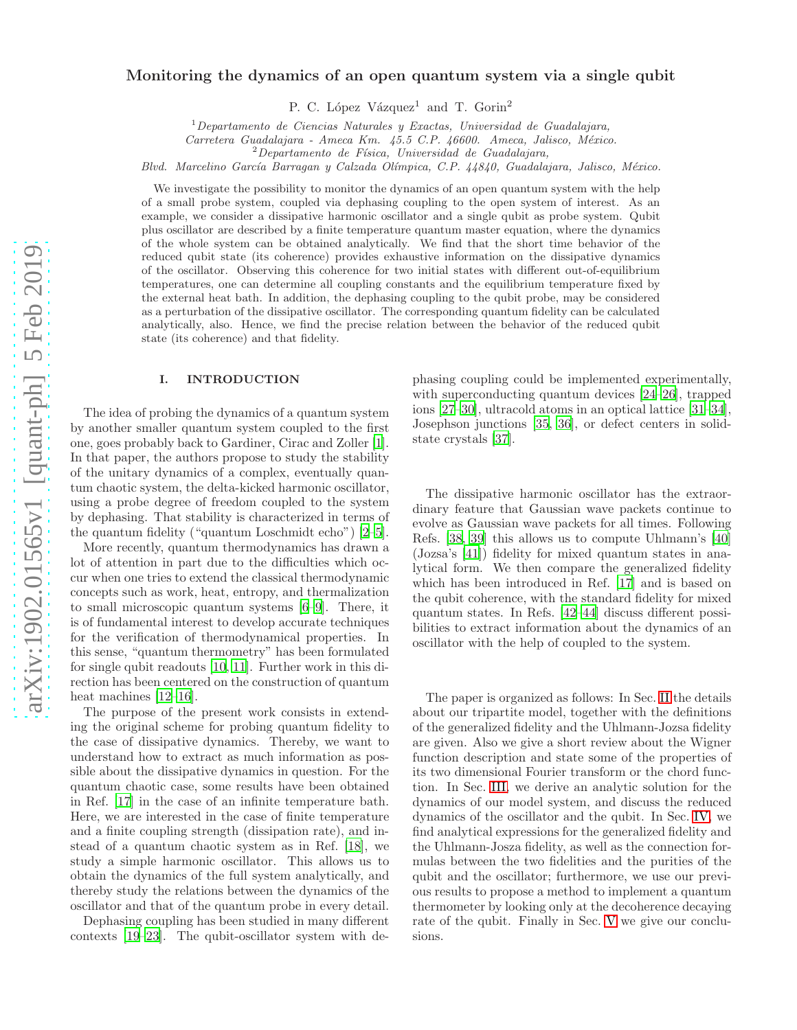# Monitoring the dynamics of an open quantum system via a single qubit

P. C. López Vázquez<sup>1</sup> and T. Gorin<sup>2</sup>

 $1$ Departamento de Ciencias Naturales y Exactas, Universidad de Guadalajara,

Carretera Guadalajara - Ameca Km. 45.5 C.P. 46600. Ameca, Jalisco, México.

 $2$ Departamento de Física, Universidad de Guadalajara,

Blvd. Marcelino García Barragan y Calzada Olímpica, C.P. 44840, Guadalajara, Jalisco, México.

We investigate the possibility to monitor the dynamics of an open quantum system with the help of a small probe system, coupled via dephasing coupling to the open system of interest. As an example, we consider a dissipative harmonic oscillator and a single qubit as probe system. Qubit plus oscillator are described by a finite temperature quantum master equation, where the dynamics of the whole system can be obtained analytically. We find that the short time behavior of the reduced qubit state (its coherence) provides exhaustive information on the dissipative dynamics of the oscillator. Observing this coherence for two initial states with different out-of-equilibrium temperatures, one can determine all coupling constants and the equilibrium temperature fixed by the external heat bath. In addition, the dephasing coupling to the qubit probe, may be considered as a perturbation of the dissipative oscillator. The corresponding quantum fidelity can be calculated analytically, also. Hence, we find the precise relation between the behavior of the reduced qubit state (its coherence) and that fidelity.

# I. INTRODUCTION

The idea of probing the dynamics of a quantum system by another smaller quantum system coupled to the first one, goes probably back to Gardiner, Cirac and Zoller [\[1\]](#page-8-0). In that paper, the authors propose to study the stability of the unitary dynamics of a complex, eventually quantum chaotic system, the delta-kicked harmonic oscillator, using a probe degree of freedom coupled to the system by dephasing. That stability is characterized in terms of the quantum fidelity ("quantum Loschmidt echo") [\[2](#page-8-1)[–5\]](#page-8-2).

More recently, quantum thermodynamics has drawn a lot of attention in part due to the difficulties which occur when one tries to extend the classical thermodynamic concepts such as work, heat, entropy, and thermalization to small microscopic quantum systems [\[6](#page-8-3)[–9](#page-9-0)]. There, it is of fundamental interest to develop accurate techniques for the verification of thermodynamical properties. In this sense, "quantum thermometry" has been formulated for single qubit readouts [\[10,](#page-9-1) [11\]](#page-9-2). Further work in this direction has been centered on the construction of quantum heat machines [\[12](#page-9-3)[–16\]](#page-9-4).

The purpose of the present work consists in extending the original scheme for probing quantum fidelity to the case of dissipative dynamics. Thereby, we want to understand how to extract as much information as possible about the dissipative dynamics in question. For the quantum chaotic case, some results have been obtained in Ref. [\[17](#page-9-5)] in the case of an infinite temperature bath. Here, we are interested in the case of finite temperature and a finite coupling strength (dissipation rate), and instead of a quantum chaotic system as in Ref. [\[18](#page-9-6)], we study a simple harmonic oscillator. This allows us to obtain the dynamics of the full system analytically, and thereby study the relations between the dynamics of the oscillator and that of the quantum probe in every detail.

Dephasing coupling has been studied in many different contexts [\[19](#page-9-7)[–23](#page-9-8)]. The qubit-oscillator system with de-

phasing coupling could be implemented experimentally, with superconducting quantum devices [\[24](#page-9-9)[–26\]](#page-9-10), trapped ions [\[27](#page-9-11)[–30\]](#page-9-12), ultracold atoms in an optical lattice [\[31](#page-9-13)[–34\]](#page-9-14), Josephson junctions [\[35,](#page-9-15) [36\]](#page-9-16), or defect centers in solidstate crystals [\[37\]](#page-9-17).

The dissipative harmonic oscillator has the extraordinary feature that Gaussian wave packets continue to evolve as Gaussian wave packets for all times. Following Refs. [\[38](#page-9-18), [39\]](#page-9-19) this allows us to compute Uhlmann's [\[40](#page-9-20)] (Jozsa's [\[41\]](#page-9-21)) fidelity for mixed quantum states in analytical form. We then compare the generalized fidelity which has been introduced in Ref. [\[17\]](#page-9-5) and is based on the qubit coherence, with the standard fidelity for mixed quantum states. In Refs. [\[42](#page-9-22)[–44\]](#page-9-23) discuss different possibilities to extract information about the dynamics of an oscillator with the help of coupled to the system.

The paper is organized as follows: In Sec. [II](#page-1-0) the details about our tripartite model, together with the definitions of the generalized fidelity and the Uhlmann-Jozsa fidelity are given. Also we give a short review about the Wigner function description and state some of the properties of its two dimensional Fourier transform or the chord function. In Sec. [III,](#page-2-0) we derive an analytic solution for the dynamics of our model system, and discuss the reduced dynamics of the oscillator and the qubit. In Sec. [IV,](#page-4-0) we find analytical expressions for the generalized fidelity and the Uhlmann-Josza fidelity, as well as the connection formulas between the two fidelities and the purities of the qubit and the oscillator; furthermore, we use our previous results to propose a method to implement a quantum thermometer by looking only at the decoherence decaying rate of the qubit. Finally in Sec. [V](#page-6-0) we give our conclusions.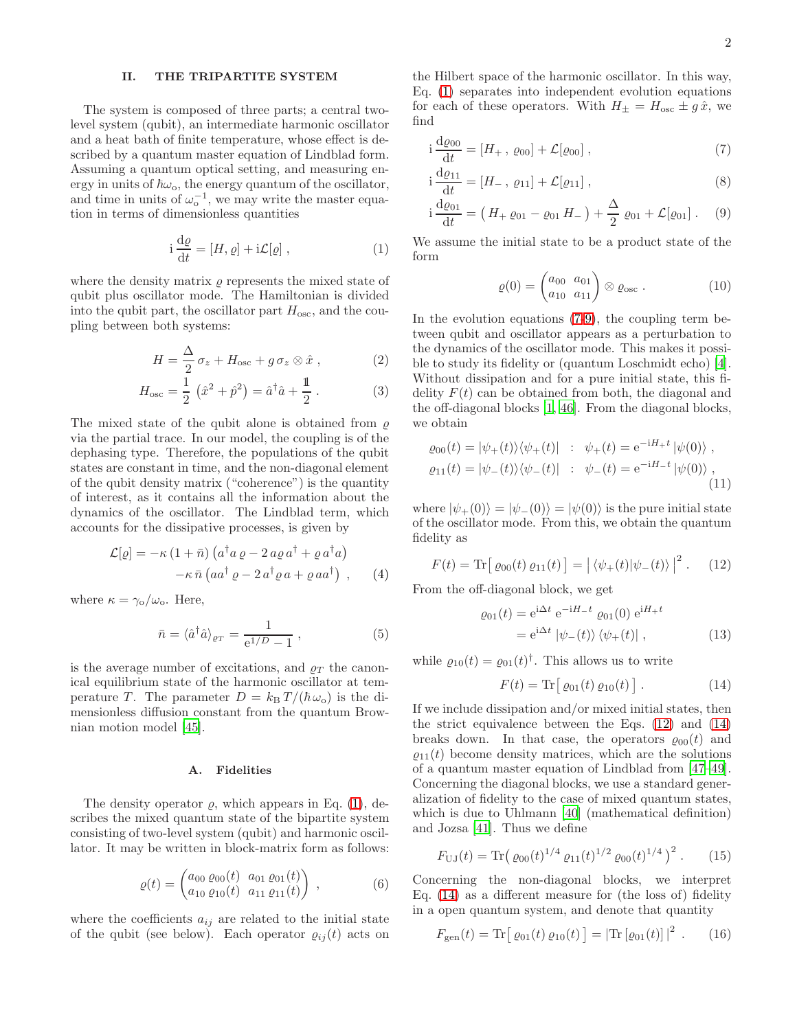# <span id="page-1-0"></span>II. THE TRIPARTITE SYSTEM

The system is composed of three parts; a central twolevel system (qubit), an intermediate harmonic oscillator and a heat bath of finite temperature, whose effect is described by a quantum master equation of Lindblad form. Assuming a quantum optical setting, and measuring energy in units of  $\hbar\omega_0$ , the energy quantum of the oscillator, and time in units of  $\omega_o^{-1}$ , we may write the master equation in terms of dimensionless quantities

<span id="page-1-1"></span>
$$
i\frac{d\varrho}{dt} = [H, \varrho] + i\mathcal{L}[\varrho] , \qquad (1)
$$

where the density matrix  $\rho$  represents the mixed state of qubit plus oscillator mode. The Hamiltonian is divided into the qubit part, the oscillator part  $H_{\text{osc}}$ , and the coupling between both systems:

$$
H = \frac{\Delta}{2} \sigma_z + H_{\text{osc}} + g \sigma_z \otimes \hat{x} , \qquad (2)
$$

$$
H_{\text{osc}} = \frac{1}{2} \left( \hat{x}^2 + \hat{p}^2 \right) = \hat{a}^\dagger \hat{a} + \frac{1}{2} . \tag{3}
$$

The mixed state of the qubit alone is obtained from  $\rho$ via the partial trace. In our model, the coupling is of the dephasing type. Therefore, the populations of the qubit states are constant in time, and the non-diagonal element of the qubit density matrix ("coherence") is the quantity of interest, as it contains all the information about the dynamics of the oscillator. The Lindblad term, which accounts for the dissipative processes, is given by

<span id="page-1-11"></span>
$$
\mathcal{L}[\varrho] = -\kappa (1 + \bar{n}) \left( a^{\dagger} a \varrho - 2 a \varrho a^{\dagger} + \varrho a^{\dagger} a \right) \n- \kappa \bar{n} \left( a a^{\dagger} \varrho - 2 a^{\dagger} \varrho a + \varrho a a^{\dagger} \right) ,
$$
\n(4)

where  $\kappa = \gamma_{\rm o}/\omega_{\rm o}$ . Here,

<span id="page-1-8"></span>
$$
\bar{n} = \langle \hat{a}^\dagger \hat{a} \rangle_{\varrho_T} = \frac{1}{e^{1/D} - 1} \,, \tag{5}
$$

is the average number of excitations, and  $\rho_T$  the canonical equilibrium state of the harmonic oscillator at temperature T. The parameter  $D = k_B T /(\hbar \omega_0)$  is the dimensionless diffusion constant from the quantum Brownian motion model [\[45](#page-9-24)].

# A. Fidelities

The density operator  $\rho$ , which appears in Eq. [\(1\)](#page-1-1), describes the mixed quantum state of the bipartite system consisting of two-level system (qubit) and harmonic oscillator. It may be written in block-matrix form as follows:

<span id="page-1-6"></span>
$$
\varrho(t) = \begin{pmatrix} a_{00} \varrho_{00}(t) & a_{01} \varrho_{01}(t) \\ a_{10} \varrho_{10}(t) & a_{11} \varrho_{11}(t) \end{pmatrix} , \qquad (6)
$$

where the coefficients  $a_{ij}$  are related to the initial state of the qubit (see below). Each operator  $\varrho_{ij}(t)$  acts on the Hilbert space of the harmonic oscillator. In this way, Eq. [\(1\)](#page-1-1) separates into independent evolution equations for each of these operators. With  $H_{\pm} = H_{\text{osc}} \pm g \hat{x}$ , we find

$$
i\frac{d\varrho_{00}}{dt} = [H_+, \varrho_{00}] + \mathcal{L}[\varrho_{00}], \qquad (7)
$$

$$
i\frac{d\varrho_{11}}{dt} = [H_{-}, \varrho_{11}] + \mathcal{L}[\varrho_{11}], \qquad (8)
$$

$$
i\frac{d\varrho_{01}}{dt} = (H_+\varrho_{01}-\varrho_{01}H_-) + \frac{\Delta}{2}\varrho_{01} + \mathcal{L}[\varrho_{01}].
$$
 (9)

We assume the initial state to be a product state of the form

<span id="page-1-7"></span><span id="page-1-3"></span><span id="page-1-2"></span>
$$
\varrho(0) = \begin{pmatrix} a_{00} & a_{01} \\ a_{10} & a_{11} \end{pmatrix} \otimes \varrho_{\text{osc}} \,. \tag{10}
$$

In the evolution equations [\(7-](#page-1-2)[9\)](#page-1-3), the coupling term between qubit and oscillator appears as a perturbation to the dynamics of the oscillator mode. This makes it possible to study its fidelity or (quantum Loschmidt echo) [\[4\]](#page-8-4). Without dissipation and for a pure initial state, this fidelity  $F(t)$  can be obtained from both, the diagonal and the off-diagonal blocks [\[1,](#page-8-0) [46\]](#page-9-25). From the diagonal blocks, we obtain

$$
\varrho_{00}(t) = |\psi_{+}(t)\rangle\langle\psi_{+}(t)| : \psi_{+}(t) = e^{-iH_{+}t} |\psi(0)\rangle ,
$$
  

$$
\varrho_{11}(t) = |\psi_{-}(t)\rangle\langle\psi_{-}(t)| : \psi_{-}(t) = e^{-iH_{-}t} |\psi(0)\rangle ,
$$
  
(11)

where  $|\psi_{+}(0)\rangle = |\psi_{-}(0)\rangle = |\psi(0)\rangle$  is the pure initial state of the oscillator mode. From this, we obtain the quantum fidelity as

$$
F(t) = \text{Tr} [ \varrho_{00}(t) \varrho_{11}(t) ] = | \langle \psi_+(t) | \psi_-(t) \rangle |^2 . \quad (12)
$$

From the off-diagonal block, we get

<span id="page-1-4"></span>
$$
\varrho_{01}(t) = e^{i\Delta t} e^{-iH-t} \varrho_{01}(0) e^{iH+t}
$$

$$
= e^{i\Delta t} |\psi_{-}(t)\rangle \langle \psi_{+}(t)| , \qquad (13)
$$

while  $\varrho_{10}(t) = \varrho_{01}(t)^{\dagger}$ . This allows us to write

<span id="page-1-5"></span>
$$
F(t) = \text{Tr}\big[\varrho_{01}(t)\,\varrho_{10}(t)\big].\tag{14}
$$

If we include dissipation and/or mixed initial states, then the strict equivalence between the Eqs. [\(12\)](#page-1-4) and [\(14\)](#page-1-5) breaks down. In that case, the operators  $\varrho_{00}(t)$  and  $\rho_{11}(t)$  become density matrices, which are the solutions of a quantum master equation of Lindblad from [\[47](#page-9-26)[–49\]](#page-9-27). Concerning the diagonal blocks, we use a standard generalization of fidelity to the case of mixed quantum states, which is due to Uhlmann [\[40](#page-9-20)] (mathematical definition) and Jozsa [\[41\]](#page-9-21). Thus we define

<span id="page-1-10"></span>
$$
F_{\text{UJ}}(t) = \text{Tr}(\varrho_{00}(t)^{1/4} \varrho_{11}(t)^{1/2} \varrho_{00}(t)^{1/4})^2. \qquad (15)
$$

Concerning the non-diagonal blocks, we interpret Eq. [\(14\)](#page-1-5) as a different measure for (the loss of) fidelity in a open quantum system, and denote that quantity

<span id="page-1-9"></span>
$$
F_{\rm gen}(t) = \text{Tr}\big[\varrho_{01}(t)\,\varrho_{10}(t)\big] = |\text{Tr}\left[\varrho_{01}(t)\right]|^2. \qquad (16)
$$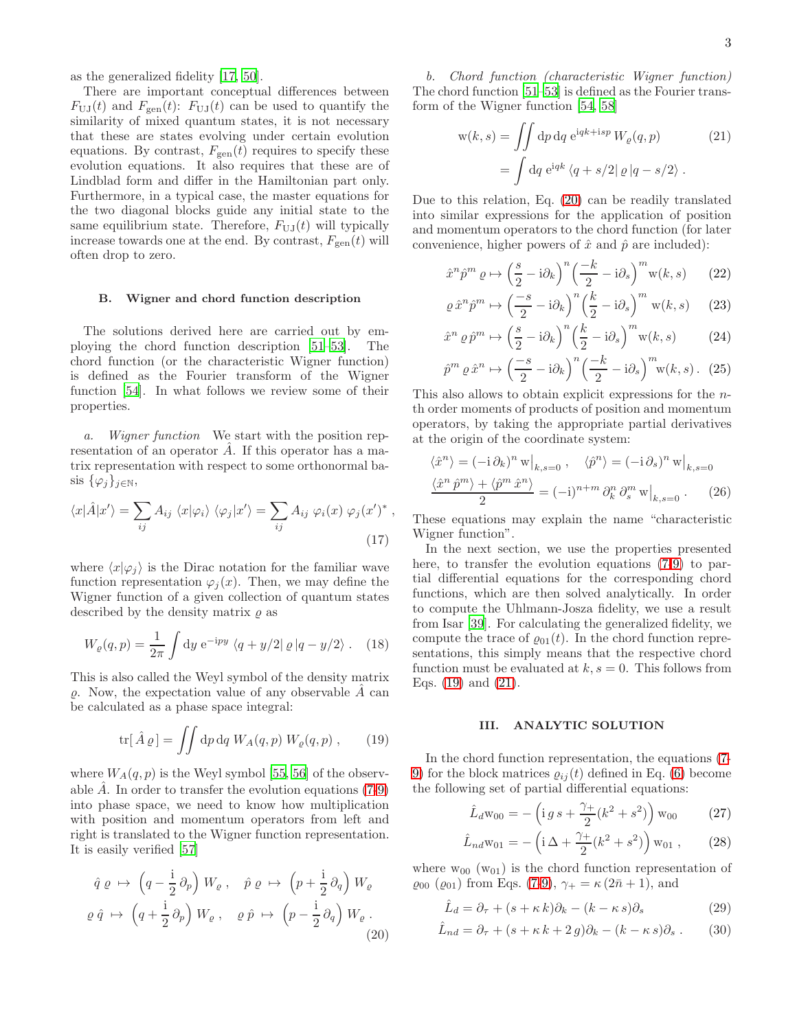as the generalized fidelity [\[17,](#page-9-5) [50\]](#page-9-28).

There are important conceptual differences between  $F_{UJ}(t)$  and  $F_{gen}(t)$ :  $F_{UJ}(t)$  can be used to quantify the similarity of mixed quantum states, it is not necessary that these are states evolving under certain evolution equations. By contrast,  $F_{\text{gen}}(t)$  requires to specify these evolution equations. It also requires that these are of Lindblad form and differ in the Hamiltonian part only. Furthermore, in a typical case, the master equations for the two diagonal blocks guide any initial state to the same equilibrium state. Therefore,  $F_{\text{U},\text{I}}(t)$  will typically increase towards one at the end. By contrast,  $F_{\text{gen}}(t)$  will often drop to zero.

# B. Wigner and chord function description

The solutions derived here are carried out by employing the chord function description [\[51](#page-9-29)[–53](#page-9-30)]. The chord function (or the characteristic Wigner function) is defined as the Fourier transform of the Wigner function [\[54\]](#page-9-31). In what follows we review some of their properties.

a. Wigner function We start with the position representation of an operator  $\hat{A}$ . If this operator has a matrix representation with respect to some orthonormal basis  $\{\varphi_j\}_{j\in\mathbb{N}},$ 

$$
\langle x|\hat{A}|x'\rangle = \sum_{ij} A_{ij} \langle x|\varphi_i\rangle \langle \varphi_j|x'\rangle = \sum_{ij} A_{ij} \varphi_i(x) \varphi_j(x')^*,
$$
\n(17)

where  $\langle x|\varphi_i\rangle$  is the Dirac notation for the familiar wave function representation  $\varphi_i(x)$ . Then, we may define the Wigner function of a given collection of quantum states described by the density matrix  $\rho$  as

$$
W_{\varrho}(q, p) = \frac{1}{2\pi} \int \mathrm{d}y \, \mathrm{e}^{-\mathrm{i}py} \, \langle q + y/2 | \varrho | q - y/2 \rangle \,. \tag{18}
$$

This is also called the Weyl symbol of the density matrix  $\rho$ . Now, the expectation value of any observable  $\tilde{A}$  can be calculated as a phase space integral:

$$
\text{tr}[\hat{A}\,\varrho] = \iint \mathrm{d}p \,\mathrm{d}q \; W_A(q,p) \; W_\varrho(q,p) \; , \qquad (19)
$$

where  $W_A(q, p)$  is the Weyl symbol [\[55,](#page-9-32) [56\]](#page-9-33) of the observable  $\hat{A}$ . In order to transfer the evolution equations [\(7](#page-1-2)[-9\)](#page-1-3) into phase space, we need to know how multiplication with position and momentum operators from left and right is translated to the Wigner function representation. It is easily verified [\[57\]](#page-9-34)

$$
\hat{q} \varrho \mapsto \left(q - \frac{\mathrm{i}}{2} \partial_p\right) W_{\varrho} , \quad \hat{p} \varrho \mapsto \left(p + \frac{\mathrm{i}}{2} \partial_q\right) W_{\varrho}
$$
\n
$$
\varrho \hat{q} \mapsto \left(q + \frac{\mathrm{i}}{2} \partial_p\right) W_{\varrho} , \quad \varrho \hat{p} \mapsto \left(p - \frac{\mathrm{i}}{2} \partial_q\right) W_{\varrho} . \tag{20}
$$

b. Chord function (characteristic Wigner function) The chord function [\[51](#page-9-29)[–53\]](#page-9-30) is defined as the Fourier transform of the Wigner function [\[54,](#page-9-31) [58](#page-9-35)]

<span id="page-2-3"></span>
$$
w(k, s) = \iint dp dq e^{iqk + isp} W_{\varrho}(q, p)
$$
\n
$$
= \int dq e^{iqk} \langle q + s/2 | \varrho | q - s/2 \rangle .
$$
\n(21)

Due to this relation, Eq. [\(20\)](#page-2-1) can be readily translated into similar expressions for the application of position and momentum operators to the chord function (for later convenience, higher powers of  $\hat{x}$  and  $\hat{p}$  are included):

$$
\hat{x}^n \hat{p}^m \varrho \mapsto \left(\frac{s}{2} - i\partial_k\right)^n \left(\frac{-k}{2} - i\partial_s\right)^m w(k, s) \qquad (22)
$$

$$
\varrho \,\hat{x}^n \hat{p}^m \mapsto \left(\frac{-s}{2} - \mathrm{i}\partial_k\right)^n \left(\frac{k}{2} - \mathrm{i}\partial_s\right)^m \,\mathrm{w}(k, s) \qquad (23)
$$

$$
\hat{x}^n \varrho \hat{p}^m \mapsto \left(\frac{s}{2} - i\partial_k\right)^n \left(\frac{k}{2} - i\partial_s\right)^m w(k, s) \tag{24}
$$

$$
\hat{p}^m \varrho \,\hat{x}^n \mapsto \left(\frac{-s}{2} - \mathrm{i}\partial_k\right)^n \left(\frac{-k}{2} - \mathrm{i}\partial_s\right)^m \mathbf{w}(k, s) \,. \tag{25}
$$

This also allows to obtain explicit expressions for the nth order moments of products of position and momentum operators, by taking the appropriate partial derivatives at the origin of the coordinate system:

$$
\langle \hat{x}^n \rangle = (-i \partial_k)^n \mathbf{w} \big|_{k,s=0}, \quad \langle \hat{p}^n \rangle = (-i \partial_s)^n \mathbf{w} \big|_{k,s=0}
$$

$$
\frac{\langle \hat{x}^n \hat{p}^m \rangle + \langle \hat{p}^m \hat{x}^n \rangle}{2} = (-i)^{n+m} \partial_k^n \partial_s^m \mathbf{w} \big|_{k,s=0}.
$$
 (26)

These equations may explain the name "characteristic Wigner function".

<span id="page-2-5"></span>In the next section, we use the properties presented here, to transfer the evolution equations [\(7-](#page-1-2)[9\)](#page-1-3) to partial differential equations for the corresponding chord functions, which are then solved analytically. In order to compute the Uhlmann-Josza fidelity, we use a result from Isar [\[39\]](#page-9-19). For calculating the generalized fidelity, we compute the trace of  $\varrho_{01}(t)$ . In the chord function representations, this simply means that the respective chord function must be evaluated at  $k, s = 0$ . This follows from Eqs.  $(19)$  and  $(21)$ .

# <span id="page-2-0"></span>III. ANALYTIC SOLUTION

<span id="page-2-2"></span>In the chord function representation, the equations [\(7-](#page-1-2) [9\)](#page-1-3) for the block matrices  $\rho_{ij}(t)$  defined in Eq. [\(6\)](#page-1-6) become the following set of partial differential equations:

<span id="page-2-4"></span>
$$
\hat{L}_d \mathbf{w}_{00} = -\left(\mathbf{i} \, g \, s + \frac{\gamma_+}{2} (k^2 + s^2)\right) \mathbf{w}_{00} \tag{27}
$$

$$
\hat{L}_{nd}w_{01} = -\left(i\Delta + \frac{\gamma_+}{2}(k^2 + s^2)\right)w_{01}, \qquad (28)
$$

where  $w_{00}$  ( $w_{01}$ ) is the chord function representation of  $\varrho_{00}$  ( $\varrho_{01}$ ) from Eqs. [\(7](#page-1-2)[-9\)](#page-1-3),  $\gamma_{+} = \kappa (2\bar{n} + 1)$ , and

$$
\hat{L}_d = \partial_\tau + (s + \kappa k)\partial_k - (k - \kappa s)\partial_s \tag{29}
$$

<span id="page-2-1"></span>
$$
\hat{L}_{nd} = \partial_{\tau} + (s + \kappa k + 2g)\partial_k - (k - \kappa s)\partial_s. \tag{30}
$$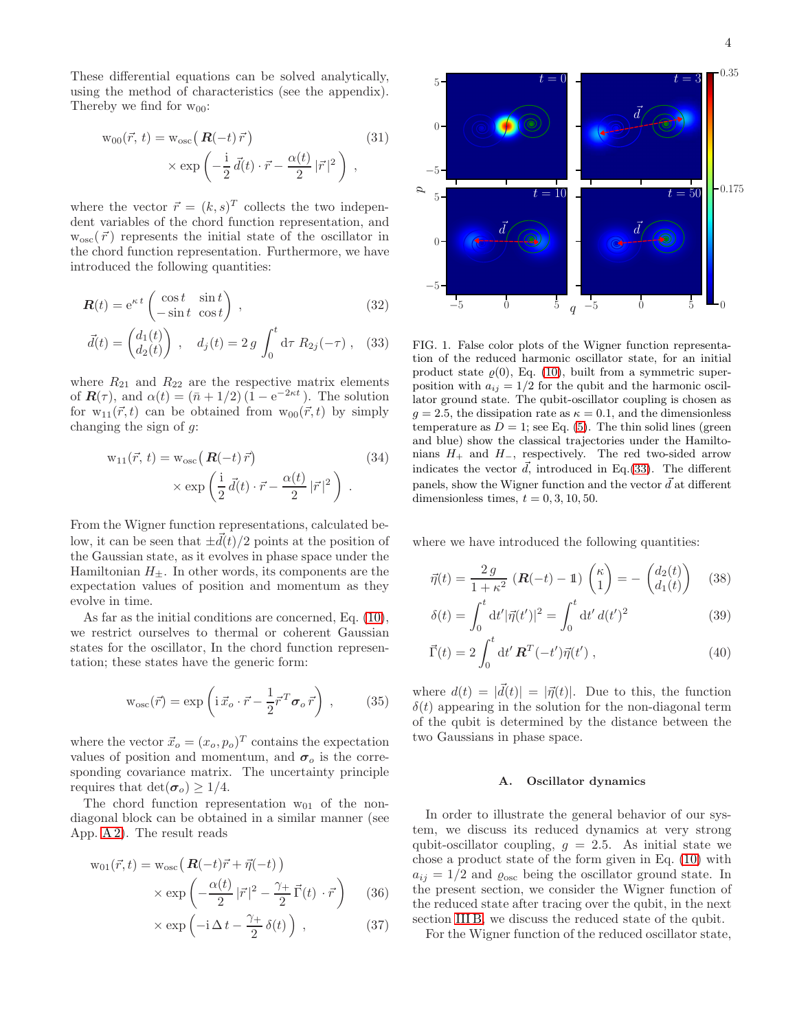These differential equations can be solved analytically, using the method of characteristics (see the appendix). Thereby we find for  $w_{00}$ :

$$
w_{00}(\vec{r}, t) = w_{osc}(\boldsymbol{R}(-t)\vec{r})
$$
\n
$$
\times \exp\left(-\frac{i}{2}\vec{d}(t) \cdot \vec{r} - \frac{\alpha(t)}{2}|\vec{r}|^2\right),
$$
\n(31)

where the vector  $\vec{r} = (k, s)^T$  collects the two independent variables of the chord function representation, and  $w_{osc}(\vec{r})$  represents the initial state of the oscillator in the chord function representation. Furthermore, we have introduced the following quantities:

$$
\mathbf{R}(t) = e^{\kappa t} \begin{pmatrix} \cos t & \sin t \\ -\sin t & \cos t \end{pmatrix} , \qquad (32)
$$

$$
\vec{d}(t) = \begin{pmatrix} d_1(t) \\ d_2(t) \end{pmatrix} , \quad d_j(t) = 2 g \int_0^t d\tau \, R_{2j}(-\tau) , \quad (33)
$$

where  $R_{21}$  and  $R_{22}$  are the respective matrix elements of  $\mathbf{R}(\tau)$ , and  $\alpha(t) = (\bar{n} + 1/2)(1 - e^{-2\kappa t})$ . The solution for  $w_{11}(\vec{r}, t)$  can be obtained from  $w_{00}(\vec{r}, t)$  by simply changing the sign of  $q$ :

$$
w_{11}(\vec{r}, t) = w_{osc} \left( \mathbf{R}(-t) \vec{r} \right)
$$
  
 
$$
\times \exp \left( \frac{i}{2} \vec{d}(t) \cdot \vec{r} - \frac{\alpha(t)}{2} |\vec{r}|^2 \right).
$$
 (34)

From the Wigner function representations, calculated below, it can be seen that  $\pm d(t)/2$  points at the position of the Gaussian state, as it evolves in phase space under the Hamiltonian  $H_{\pm}$ . In other words, its components are the expectation values of position and momentum as they evolve in time.

As far as the initial conditions are concerned, Eq. [\(10\)](#page-1-7), we restrict ourselves to thermal or coherent Gaussian states for the oscillator, In the chord function representation; these states have the generic form:

<span id="page-3-4"></span>
$$
w_{osc}(\vec{r}) = \exp\left(i\,\vec{x}_o \cdot \vec{r} - \frac{1}{2}\vec{r}^T \sigma_o \,\vec{r}\right) \,, \tag{35}
$$

where the vector  $\vec{x}_o = (x_o, p_o)^T$  contains the expectation values of position and momentum, and  $\sigma_o$  is the corresponding covariance matrix. The uncertainty principle requires that  $\det(\sigma_o) \geq 1/4$ .

The chord function representation  $w_{01}$  of the nondiagonal block can be obtained in a similar manner (see App. [A 2\)](#page-8-5). The result reads

$$
w_{01}(\vec{r},t) = w_{osc} \left( \mathbf{R}(-t)\vec{r} + \vec{\eta}(-t) \right)
$$

$$
\times \exp \left( -\frac{\alpha(t)}{2} |\vec{r}|^2 - \frac{\gamma_+}{2} \vec{\Gamma}(t) \cdot \vec{r} \right) \tag{36}
$$

$$
\times \exp\left(-i\,\Delta\,t - \frac{\gamma_+}{2}\,\delta(t)\right) \,,\tag{37}
$$

<span id="page-3-2"></span>

<span id="page-3-1"></span><span id="page-3-0"></span>FIG. 1. False color plots of the Wigner function representation of the reduced harmonic oscillator state, for an initial product state  $\varrho(0)$ , Eq. [\(10\)](#page-1-7), built from a symmetric superposition with  $a_{ij} = 1/2$  for the qubit and the harmonic oscillator ground state. The qubit-oscillator coupling is chosen as  $g = 2.5$ , the dissipation rate as  $\kappa = 0.1$ , and the dimensionless temperature as  $D = 1$ ; see Eq. [\(5\)](#page-1-8). The thin solid lines (green and blue) show the classical trajectories under the Hamiltonians  $H_+$  and  $H_-,$  respectively. The red two-sided arrow indicates the vector  $\vec{d}$ , introduced in Eq.[\(33\)](#page-3-0). The different panels, show the Wigner function and the vector  $\vec{d}$  at different dimensionless times,  $t = 0, 3, 10, 50$ .

where we have introduced the following quantities:

$$
\vec{\eta}(t) = \frac{2 g}{1 + \kappa^2} \left( \mathbf{R}(-t) - \mathbf{1} \right) \begin{pmatrix} \kappa \\ 1 \end{pmatrix} = - \begin{pmatrix} d_2(t) \\ d_1(t) \end{pmatrix} \tag{38}
$$

$$
\delta(t) = \int_0^t dt' |\vec{\eta}(t')|^2 = \int_0^t dt' d(t')^2
$$
\n(39)

$$
\vec{\Gamma}(t) = 2 \int_0^t dt' \, \mathbf{R}^T(-t') \vec{\eta}(t') \,, \tag{40}
$$

where  $d(t) = |\vec{d}(t)| = |\vec{\eta}(t)|$ . Due to this, the function  $\delta(t)$  appearing in the solution for the non-diagonal term of the qubit is determined by the distance between the two Gaussians in phase space.

### A. Oscillator dynamics

In order to illustrate the general behavior of our system, we discuss its reduced dynamics at very strong qubit-oscillator coupling,  $g = 2.5$ . As initial state we chose a product state of the form given in Eq. [\(10\)](#page-1-7) with  $a_{ij} = 1/2$  and  $\varrho_{osc}$  being the oscillator ground state. In the present section, we consider the Wigner function of the reduced state after tracing over the qubit, in the next section [III B,](#page-4-1) we discuss the reduced state of the qubit.

<span id="page-3-3"></span>For the Wigner function of the reduced oscillator state,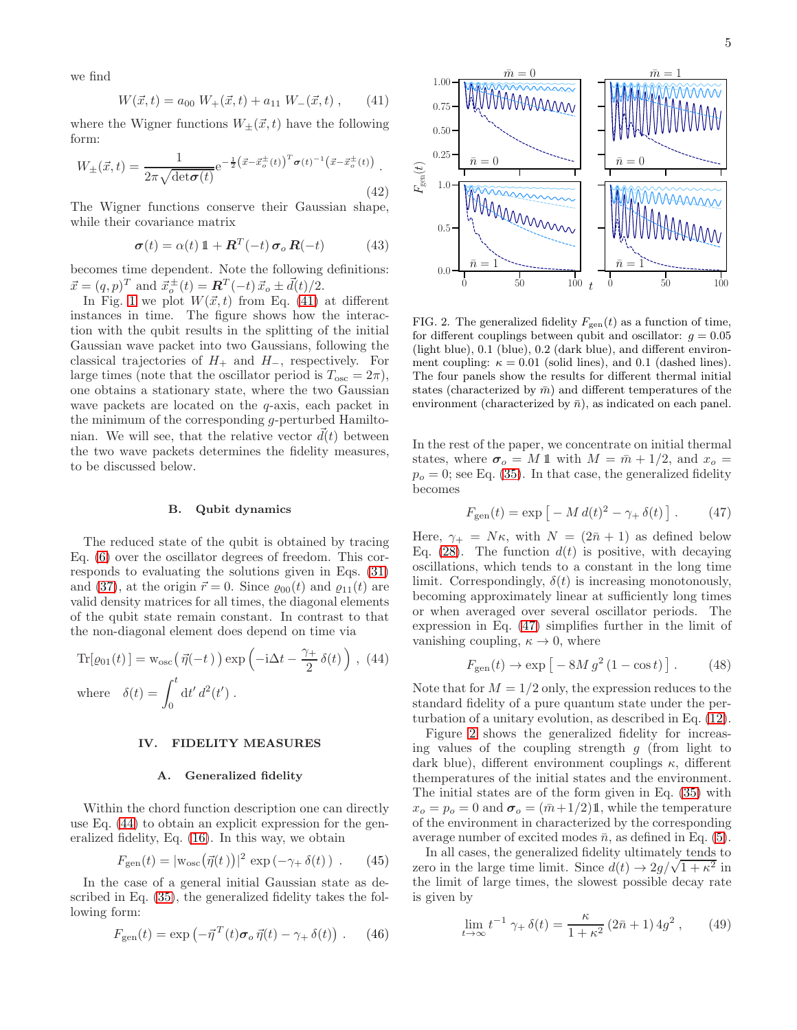we find

<span id="page-4-2"></span>
$$
W(\vec{x},t) = a_{00} W_{+}(\vec{x},t) + a_{11} W_{-}(\vec{x},t) , \qquad (41)
$$

where the Wigner functions  $W_{\pm}(\vec{x}, t)$  have the following form:

$$
W_{\pm}(\vec{x},t) = \frac{1}{2\pi\sqrt{\det(\sigma(t))}} e^{-\frac{1}{2}(\vec{x}-\vec{x}_o^{\pm}(t))^{T} \sigma(t)^{-1}(\vec{x}-\vec{x}_o^{\pm}(t))}.
$$
\n(42)

The Wigner functions conserve their Gaussian shape, while their covariance matrix

<span id="page-4-6"></span>
$$
\boldsymbol{\sigma}(t) = \alpha(t) \, \mathbf{1} + \boldsymbol{R}^T(-t) \, \boldsymbol{\sigma}_o \, \boldsymbol{R}(-t) \tag{43}
$$

becomes time dependent. Note the following definitions:  $\vec{x} = (q, p)^T$  and  $\vec{x}^{\pm}_{o}(t) = \mathbf{R}^T(-t) \vec{x}_o \pm \vec{d}(t)/2.$ 

In Fig. [1](#page-3-1) we plot  $W(\vec{x}, t)$  from Eq. [\(41\)](#page-4-2) at different instances in time. The figure shows how the interaction with the qubit results in the splitting of the initial Gaussian wave packet into two Gaussians, following the classical trajectories of  $H_+$  and  $H_-,$  respectively. For large times (note that the oscillator period is  $T_{\text{osc}} = 2\pi$ ), one obtains a stationary state, where the two Gaussian wave packets are located on the  $q$ -axis, each packet in the minimum of the corresponding g-perturbed Hamiltonian. We will see, that the relative vector  $d(t)$  between the two wave packets determines the fidelity measures, to be discussed below.

### <span id="page-4-1"></span>B. Qubit dynamics

The reduced state of the qubit is obtained by tracing Eq. [\(6\)](#page-1-6) over the oscillator degrees of freedom. This corresponds to evaluating the solutions given in Eqs. [\(31\)](#page-3-2) and [\(37\)](#page-3-3), at the origin  $\vec{r} = 0$ . Since  $\varrho_{00}(t)$  and  $\varrho_{11}(t)$  are valid density matrices for all times, the diagonal elements of the qubit state remain constant. In contrast to that the non-diagonal element does depend on time via

$$
\text{Tr}[\varrho_{01}(t)] = \text{w}_{\text{osc}}(\vec{\eta}(-t)) \exp\left(-i\Delta t - \frac{\gamma_+}{2}\delta(t)\right), (44)
$$
\n
$$
\text{where } \delta(t) = \int_0^t dt' d^2(t').
$$

### <span id="page-4-0"></span>IV. FIDELITY MEASURES

#### A. Generalized fidelity

Within the chord function description one can directly use Eq. [\(44\)](#page-4-3) to obtain an explicit expression for the generalized fidelity, Eq. [\(16\)](#page-1-9). In this way, we obtain

$$
F_{\text{gen}}(t) = |\mathbf{w}_{\text{osc}}(\vec{\eta}(t))|^2 \, \exp\left(-\gamma_+ \,\delta(t)\right) \,. \tag{45}
$$

In the case of a general initial Gaussian state as described in Eq. [\(35\)](#page-3-4), the generalized fidelity takes the following form:

$$
F_{\rm gen}(t) = \exp\left(-\vec{\eta}^T(t)\boldsymbol{\sigma}_o\,\vec{\eta}(t) - \gamma_+\,\delta(t)\right) \,. \tag{46}
$$



<span id="page-4-5"></span>FIG. 2. The generalized fidelity  $F_{\text{gen}}(t)$  as a function of time, for different couplings between qubit and oscillator:  $g = 0.05$ (light blue), 0.1 (blue), 0.2 (dark blue), and different environment coupling:  $\kappa = 0.01$  (solid lines), and 0.1 (dashed lines). The four panels show the results for different thermal initial states (characterized by  $\bar{m}$ ) and different temperatures of the environment (characterized by  $\bar{n}$ ), as indicated on each panel.

In the rest of the paper, we concentrate on initial thermal states, where  $\sigma_o = M 1$  with  $M = \bar{m} + 1/2$ , and  $x_o =$  $p<sub>o</sub> = 0$ ; see Eq. [\(35\)](#page-3-4). In that case, the generalized fidelity becomes

<span id="page-4-4"></span>
$$
F_{\text{gen}}(t) = \exp\left[-M\,d(t)^2 - \gamma_+\,\delta(t)\right].\tag{47}
$$

Here,  $\gamma_+ = N\kappa$ , with  $N = (2\bar{n} + 1)$  as defined below Eq. [\(28\)](#page-2-4). The function  $d(t)$  is positive, with decaying oscillations, which tends to a constant in the long time limit. Correspondingly,  $\delta(t)$  is increasing monotonously, becoming approximately linear at sufficiently long times or when averaged over several oscillator periods. The expression in Eq. [\(47\)](#page-4-4) simplifies further in the limit of vanishing coupling,  $\kappa \to 0$ , where

$$
F_{\rm gen}(t) \to \exp\left[-8M\,g^2\,(1-\cos t)\right].\qquad(48)
$$

<span id="page-4-3"></span>Note that for  $M = 1/2$  only, the expression reduces to the standard fidelity of a pure quantum state under the perturbation of a unitary evolution, as described in Eq. [\(12\)](#page-1-4).

Figure [2](#page-4-5) shows the generalized fidelity for increasing values of the coupling strength  $q$  (from light to dark blue), different environment couplings  $\kappa$ , different themperatures of the initial states and the environment. The initial states are of the form given in Eq. [\(35\)](#page-3-4) with  $x_o = p_o = 0$  and  $\sigma_o = (\bar{m}+1/2)\mathbb{1}$ , while the temperature of the environment in characterized by the corresponding average number of excited modes  $\bar{n}$ , as defined in Eq. [\(5\)](#page-1-8).

In all cases, the generalized fidelity ultimately tends to zero in the large time limit. Since  $d(t) \rightarrow 2g/\sqrt{1 + \kappa^2}$  in the limit of large times, the slowest possible decay rate is given by

$$
\lim_{t \to \infty} t^{-1} \gamma_+ \delta(t) = \frac{\kappa}{1 + \kappa^2} (2\bar{n} + 1) 4g^2 , \qquad (49)
$$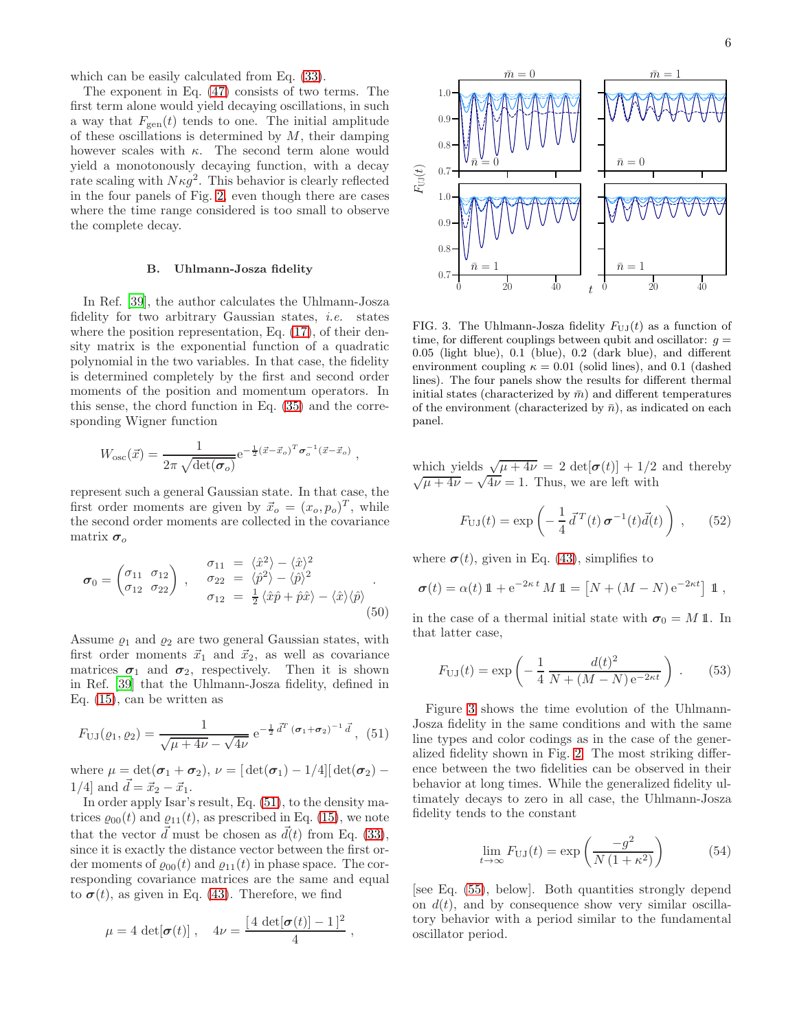which can be easily calculated from Eq. [\(33\)](#page-3-0).

The exponent in Eq. [\(47\)](#page-4-4) consists of two terms. The first term alone would yield decaying oscillations, in such a way that  $F_{gen}(t)$  tends to one. The initial amplitude of these oscillations is determined by  $M$ , their damping however scales with  $\kappa$ . The second term alone would yield a monotonously decaying function, with a decay rate scaling with  $N\kappa g^2$ . This behavior is clearly reflected in the four panels of Fig. [2,](#page-4-5) even though there are cases where the time range considered is too small to observe the complete decay.

### B. Uhlmann-Josza fidelity

In Ref. [\[39\]](#page-9-19), the author calculates the Uhlmann-Josza fidelity for two arbitrary Gaussian states, i.e. states where the position representation, Eq.  $(17)$ , of their density matrix is the exponential function of a quadratic polynomial in the two variables. In that case, the fidelity is determined completely by the first and second order moments of the position and momentum operators. In this sense, the chord function in Eq. [\(35\)](#page-3-4) and the corresponding Wigner function

$$
W_{\rm osc}(\vec{x}) = \frac{1}{2\pi\sqrt{\det(\boldsymbol{\sigma}_o)}} e^{-\frac{1}{2}(\vec{x}-\vec{x}_o)^T \boldsymbol{\sigma}_o^{-1}(\vec{x}-\vec{x}_o)},
$$

represent such a general Gaussian state. In that case, the first order moments are given by  $\vec{x}_o = (x_o, p_o)^T$ , while the second order moments are collected in the covariance matrix  $\sigma_o$ 

$$
\boldsymbol{\sigma}_0 = \begin{pmatrix} \sigma_{11} & \sigma_{12} \\ \sigma_{12} & \sigma_{22} \end{pmatrix} , \quad \begin{array}{l} \sigma_{11} = \langle \hat{x}^2 \rangle - \langle \hat{x} \rangle^2 \\ \sigma_{22} = \langle \hat{p}^2 \rangle - \langle \hat{p} \rangle^2 \\ \sigma_{12} = \frac{1}{2} \langle \hat{x} \hat{p} + \hat{p} \hat{x} \rangle - \langle \hat{x} \rangle \langle \hat{p} \rangle \end{array} . \tag{50}
$$

Assume  $\varrho_1$  and  $\varrho_2$  are two general Gaussian states, with first order moments  $\vec{x}_1$  and  $\vec{x}_2$ , as well as covariance matrices  $\sigma_1$  and  $\sigma_2$ , respectively. Then it is shown in Ref. [\[39\]](#page-9-19) that the Uhlmann-Josza fidelity, defined in Eq. [\(15\)](#page-1-10), can be written as

$$
F_{\text{UJ}}(\varrho_1, \varrho_2) = \frac{1}{\sqrt{\mu + 4\nu} - \sqrt{4\nu}} e^{-\frac{1}{2}\vec{d}^T (\sigma_1 + \sigma_2)^{-1} \vec{d}}, \tag{51}
$$

where  $\mu = \det(\sigma_1 + \sigma_2), \nu = [\det(\sigma_1) - 1/4][\det(\sigma_2) -$ 1/4] and  $\vec{d} = \vec{x}_2 - \vec{x}_1$ .

In order apply Isar's result, Eq. [\(51\)](#page-5-0), to the density matrices  $\varrho_{00}(t)$  and  $\varrho_{11}(t)$ , as prescribed in Eq. [\(15\)](#page-1-10), we note that the vector  $\vec{d}$  must be chosen as  $\vec{d}(t)$  from Eq. [\(33\)](#page-3-0), since it is exactly the distance vector between the first order moments of  $\rho_{00}(t)$  and  $\rho_{11}(t)$  in phase space. The corresponding covariance matrices are the same and equal to  $\sigma(t)$ , as given in Eq. [\(43\)](#page-4-6). Therefore, we find

$$
\mu = 4 \det[\boldsymbol{\sigma}(t)], \quad 4\nu = \frac{[4 \det[\boldsymbol{\sigma}(t)] - 1]^2}{4},
$$



<span id="page-5-1"></span>FIG. 3. The Uhlmann-Josza fidelity  $F_{U,J}(t)$  as a function of time, for different couplings between qubit and oscillator:  $q =$ 0.05 (light blue), 0.1 (blue), 0.2 (dark blue), and different environment coupling  $\kappa = 0.01$  (solid lines), and 0.1 (dashed lines). The four panels show the results for different thermal initial states (characterized by  $\bar{m}$ ) and different temperatures of the environment (characterized by  $\bar{n}$ ), as indicated on each panel.

which yields  $\sqrt{\mu + 4\nu} = 2 \det[\sigma(t)] + 1/2$  and thereby  $\sqrt{\mu + 4\nu} - \sqrt{4\nu} = 1$ . Thus, we are left with

$$
F_{\text{UJ}}(t) = \exp\left(-\frac{1}{4}\vec{d}^T(t)\,\boldsymbol{\sigma}^{-1}(t)\vec{d}(t)\right) ,\qquad(52)
$$

where  $\sigma(t)$ , given in Eq. [\(43\)](#page-4-6), simplifies to

$$
\boldsymbol{\sigma}(t) = \alpha(t) \, \mathbb{1} + e^{-2\kappa t} \, M \, \mathbb{1} = \left[ N + (M - N) \, e^{-2\kappa t} \right] \, \mathbb{1} \;,
$$

in the case of a thermal initial state with  $\sigma_0 = M \mathbb{1}$ . In that latter case,

<span id="page-5-2"></span>
$$
F_{\text{UJ}}(t) = \exp\left(-\frac{1}{4} \frac{d(t)^2}{N + (M - N)e^{-2\kappa t}}\right) \,. \tag{53}
$$

<span id="page-5-0"></span>Figure [3](#page-5-1) shows the time evolution of the Uhlmann-Josza fidelity in the same conditions and with the same line types and color codings as in the case of the generalized fidelity shown in Fig. [2.](#page-4-5) The most striking difference between the two fidelities can be observed in their behavior at long times. While the generalized fidelity ultimately decays to zero in all case, the Uhlmann-Josza fidelity tends to the constant

$$
\lim_{t \to \infty} F_{\text{UJ}}(t) = \exp\left(\frac{-g^2}{N\left(1 + \kappa^2\right)}\right) \tag{54}
$$

[see Eq. [\(55\)](#page-6-1), below]. Both quantities strongly depend on  $d(t)$ , and by consequence show very similar oscillatory behavior with a period similar to the fundamental oscillator period.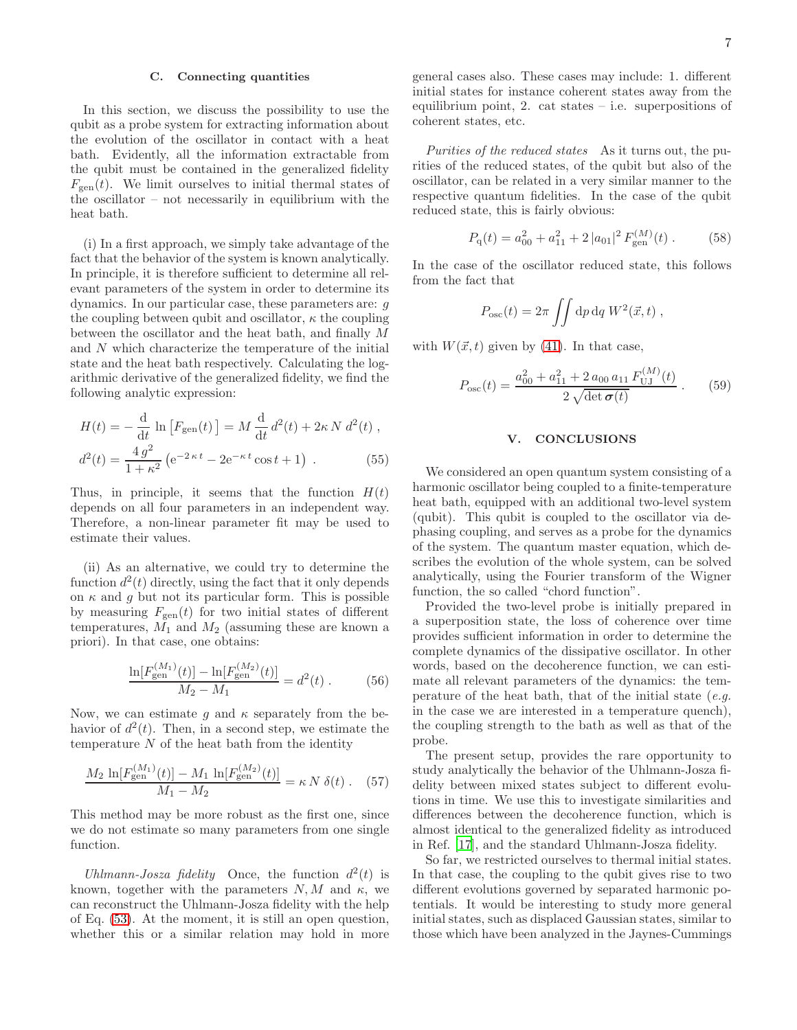### C. Connecting quantities

In this section, we discuss the possibility to use the qubit as a probe system for extracting information about the evolution of the oscillator in contact with a heat bath. Evidently, all the information extractable from the qubit must be contained in the generalized fidelity  $F_{gen}(t)$ . We limit ourselves to initial thermal states of the oscillator – not necessarily in equilibrium with the heat bath.

(i) In a first approach, we simply take advantage of the fact that the behavior of the system is known analytically. In principle, it is therefore sufficient to determine all relevant parameters of the system in order to determine its dynamics. In our particular case, these parameters are: g the coupling between qubit and oscillator,  $\kappa$  the coupling between the oscillator and the heat bath, and finally M and N which characterize the temperature of the initial state and the heat bath respectively. Calculating the logarithmic derivative of the generalized fidelity, we find the following analytic expression:

$$
H(t) = -\frac{d}{dt} \ln \left[ F_{\text{gen}}(t) \right] = M \frac{d}{dt} d^2(t) + 2\kappa N d^2(t) ,
$$
  

$$
d^2(t) = \frac{4 g^2}{1 + \kappa^2} \left( e^{-2\kappa t} - 2e^{-\kappa t} \cos t + 1 \right) .
$$
 (55)

Thus, in principle, it seems that the function  $H(t)$ depends on all four parameters in an independent way. Therefore, a non-linear parameter fit may be used to estimate their values.

(ii) As an alternative, we could try to determine the function  $d^2(t)$  directly, using the fact that it only depends on  $\kappa$  and  $g$  but not its particular form. This is possible by measuring  $F_{\text{gen}}(t)$  for two initial states of different temperatures,  $M_1$  and  $M_2$  (assuming these are known a priori). In that case, one obtains:

$$
\frac{\ln[F_{\text{gen}}^{(M_1)}(t)] - \ln[F_{\text{gen}}^{(M_2)}(t)]}{M_2 - M_1} = d^2(t) . \tag{56}
$$

Now, we can estimate g and  $\kappa$  separately from the behavior of  $d^2(t)$ . Then, in a second step, we estimate the temperature  $N$  of the heat bath from the identity

$$
\frac{M_2 \ln[F_{\text{gen}}^{(M_1)}(t)] - M_1 \ln[F_{\text{gen}}^{(M_2)}(t)]}{M_1 - M_2} = \kappa N \delta(t) \ . \tag{57}
$$

 $(3.6)$ 

This method may be more robust as the first one, since we do not estimate so many parameters from one single function.

Uhlmann-Josza fidelity Once, the function  $d^2(t)$  is known, together with the parameters  $N, M$  and  $\kappa$ , we can reconstruct the Uhlmann-Josza fidelity with the help of Eq. [\(53\)](#page-5-2). At the moment, it is still an open question, whether this or a similar relation may hold in more general cases also. These cases may include: 1. different initial states for instance coherent states away from the equilibrium point, 2. cat states  $-$  i.e. superpositions of coherent states, etc.

Purities of the reduced states As it turns out, the purities of the reduced states, of the qubit but also of the oscillator, can be related in a very similar manner to the respective quantum fidelities. In the case of the qubit reduced state, this is fairly obvious:

$$
P_{\rm q}(t) = a_{00}^2 + a_{11}^2 + 2|a_{01}|^2 F_{\rm gen}^{(M)}(t) \,. \tag{58}
$$

In the case of the oscillator reduced state, this follows from the fact that

$$
P_{\rm osc}(t) = 2\pi \iint dp dq W^2(\vec{x}, t) ,
$$

with  $W(\vec{x}, t)$  given by [\(41\)](#page-4-2). In that case,

$$
P_{\rm osc}(t) = \frac{a_{00}^2 + a_{11}^2 + 2 a_{00} a_{11} F_{\rm UJ}^{(M)}(t)}{2 \sqrt{\det \sigma(t)}}.
$$
 (59)

#### <span id="page-6-0"></span>V. CONCLUSIONS

<span id="page-6-1"></span>We considered an open quantum system consisting of a harmonic oscillator being coupled to a finite-temperature heat bath, equipped with an additional two-level system (qubit). This qubit is coupled to the oscillator via dephasing coupling, and serves as a probe for the dynamics of the system. The quantum master equation, which describes the evolution of the whole system, can be solved analytically, using the Fourier transform of the Wigner function, the so called "chord function".

Provided the two-level probe is initially prepared in a superposition state, the loss of coherence over time provides sufficient information in order to determine the complete dynamics of the dissipative oscillator. In other words, based on the decoherence function, we can estimate all relevant parameters of the dynamics: the temperature of the heat bath, that of the initial state  $(e.g., )$ in the case we are interested in a temperature quench), the coupling strength to the bath as well as that of the probe.

The present setup, provides the rare opportunity to study analytically the behavior of the Uhlmann-Josza fidelity between mixed states subject to different evolutions in time. We use this to investigate similarities and differences between the decoherence function, which is almost identical to the generalized fidelity as introduced in Ref. [\[17](#page-9-5)], and the standard Uhlmann-Josza fidelity.

So far, we restricted ourselves to thermal initial states. In that case, the coupling to the qubit gives rise to two different evolutions governed by separated harmonic potentials. It would be interesting to study more general initial states, such as displaced Gaussian states, similar to those which have been analyzed in the Jaynes-Cummings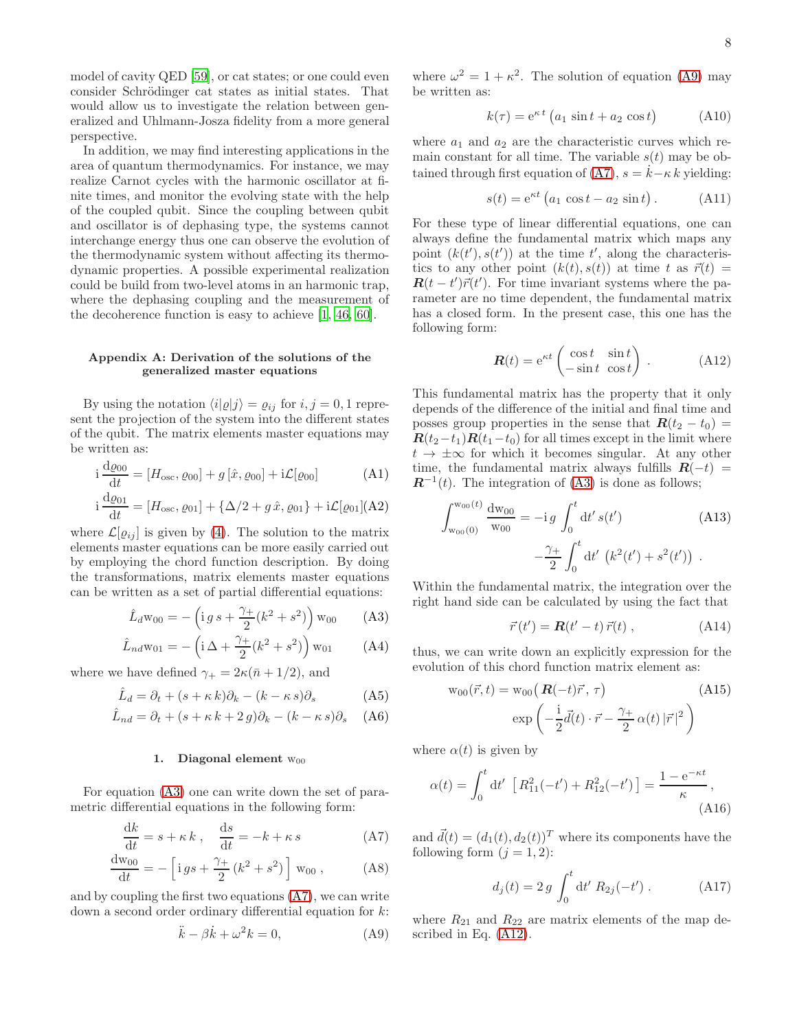model of cavity QED [\[59](#page-9-36)], or cat states; or one could even consider Schrödinger cat states as initial states. That would allow us to investigate the relation between generalized and Uhlmann-Josza fidelity from a more general perspective.

In addition, we may find interesting applications in the area of quantum thermodynamics. For instance, we may realize Carnot cycles with the harmonic oscillator at finite times, and monitor the evolving state with the help of the coupled qubit. Since the coupling between qubit and oscillator is of dephasing type, the systems cannot interchange energy thus one can observe the evolution of the thermodynamic system without affecting its thermodynamic properties. A possible experimental realization could be build from two-level atoms in an harmonic trap, where the dephasing coupling and the measurement of the decoherence function is easy to achieve [\[1,](#page-8-0) [46](#page-9-25), [60](#page-9-37)].

# Appendix A: Derivation of the solutions of the generalized master equations

By using the notation  $\langle i|\varrho|j\rangle = \varrho_{ij}$  for  $i, j = 0, 1$  represent the projection of the system into the different states of the qubit. The matrix elements master equations may be written as:

$$
i\frac{d\varrho_{00}}{dt} = [H_{\text{osc}}, \varrho_{00}] + g[\hat{x}, \varrho_{00}] + i\mathcal{L}[\varrho_{00}]
$$
 (A1)

$$
i\frac{d\varrho_{01}}{dt} = [H_{\text{osc}}, \varrho_{01}] + {\{\Delta/2 + g\,\hat{x}, \varrho_{01}\} + i\mathcal{L}[\varrho_{01}](A2)}
$$

where  $\mathcal{L}[\varrho_{ij}]$  is given by [\(4\)](#page-1-11). The solution to the matrix elements master equations can be more easily carried out by employing the chord function description. By doing the transformations, matrix elements master equations can be written as a set of partial differential equations:

<span id="page-7-0"></span>
$$
\hat{L}_d w_{00} = -\left(\mathrm{i} \, g \, s + \frac{\gamma_+}{2} (k^2 + s^2)\right) w_{00} \tag{A3}
$$

$$
\hat{L}_{nd}w_{01} = -\left(i\Delta + \frac{\gamma_+}{2}(k^2 + s^2)\right)w_{01}
$$
 (A4)

where we have defined  $\gamma_+ = 2\kappa(\bar{n} + 1/2)$ , and

$$
\hat{L}_d = \partial_t + (s + \kappa k)\partial_k - (k - \kappa s)\partial_s \tag{A5}
$$

$$
\hat{L}_{nd} = \partial_t + (s + \kappa k + 2g)\partial_k - (k - \kappa s)\partial_s \quad (A6)
$$

### 1. Diagonal element  $w_{00}$

For equation [\(A3\)](#page-7-0) one can write down the set of parametric differential equations in the following form:

$$
\frac{dk}{dt} = s + \kappa k , \quad \frac{ds}{dt} = -k + \kappa s
$$
 (A7)

$$
\frac{dw_{00}}{dt} = -\left[ig s + \frac{\gamma_+}{2} (k^2 + s^2)\right] w_{00} , \qquad (A8)
$$

and by coupling the first two equations [\(A7\)](#page-7-1), we can write down a second order ordinary differential equation for k:

<span id="page-7-2"></span>
$$
\ddot{k} - \beta \dot{k} + \omega^2 k = 0,\tag{A9}
$$

where  $\omega^2 = 1 + \kappa^2$ . The solution of equation [\(A9\)](#page-7-2) may be written as:

$$
k(\tau) = e^{\kappa t} \left( a_1 \sin t + a_2 \cos t \right) \tag{A10}
$$

where  $a_1$  and  $a_2$  are the characteristic curves which remain constant for all time. The variable  $s(t)$  may be ob-tained through first equation of [\(A7\)](#page-7-1),  $s = \dot{k}-\kappa k$  yielding:

$$
s(t) = e^{\kappa t} \left( a_1 \cos t - a_2 \sin t \right). \tag{A11}
$$

For these type of linear differential equations, one can always define the fundamental matrix which maps any point  $(k(t'), s(t'))$  at the time t', along the characteristics to any other point  $(k(t), s(t))$  at time t as  $\vec{r}(t)$  =  $\mathbf{R}(t-t')\vec{r}(t')$ . For time invariant systems where the parameter are no time dependent, the fundamental matrix has a closed form. In the present case, this one has the following form:

<span id="page-7-3"></span>
$$
\mathbf{R}(t) = e^{\kappa t} \begin{pmatrix} \cos t & \sin t \\ -\sin t & \cos t \end{pmatrix} .
$$
 (A12)

This fundamental matrix has the property that it only depends of the difference of the initial and final time and posses group properties in the sense that  $\mathbf{R}(t_2 - t_0) =$  $\mathbf{R}(t_2-t_1)\mathbf{R}(t_1-t_0)$  for all times except in the limit where  $t \to \pm \infty$  for which it becomes singular. At any other time, the fundamental matrix always fulfills  $\mathbf{R}(-t)$  =  $\mathbf{R}^{-1}(t)$ . The integration of [\(A3\)](#page-7-0) is done as follows;

$$
\int_{w_{00}(0)}^{w_{00}(t)} \frac{dw_{00}}{w_{00}} = -ig \int_0^t dt' s(t')
$$
 (A13)  

$$
-\frac{\gamma_+}{2} \int_0^t dt' \left(k^2(t') + s^2(t')\right).
$$

Within the fundamental matrix, the integration over the right hand side can be calculated by using the fact that

$$
\vec{r}(t') = \mathbf{R}(t'-t)\,\vec{r}(t) ,\qquad (A14)
$$

thus, we can write down an explicitly expression for the evolution of this chord function matrix element as:

$$
w_{00}(\vec{r},t) = w_{00} \left( \boldsymbol{R}(-t)\vec{r}, \tau \right) \tag{A15}
$$

$$
\exp \left( -\frac{i}{2}\vec{d}(t) \cdot \vec{r} - \frac{\gamma_+}{2} \alpha(t) |\vec{r}|^2 \right)
$$

where  $\alpha(t)$  is given by

$$
\alpha(t) = \int_0^t dt' \left[ R_{11}^2(-t') + R_{12}^2(-t') \right] = \frac{1 - e^{-\kappa t}}{\kappa},
$$
\n(A16)

<span id="page-7-1"></span>and  $\vec{d}(t) = (d_1(t), d_2(t))^T$  where its components have the following form  $(j = 1, 2)$ :

<span id="page-7-4"></span>
$$
d_j(t) = 2 g \int_0^t dt' R_{2j}(-t') .
$$
 (A17)

where  $R_{21}$  and  $R_{22}$  are matrix elements of the map described in Eq. [\(A12\)](#page-7-3).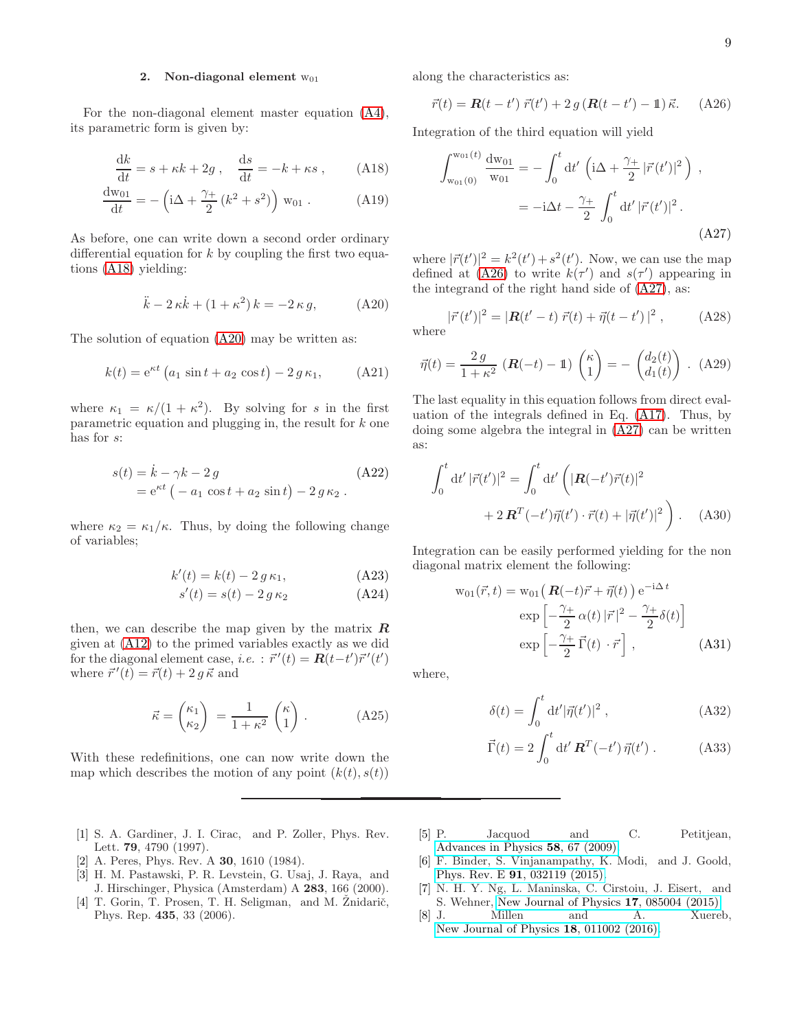# <span id="page-8-5"></span>2. Non-diagonal element  $w_{01}$

For the non-diagonal element master equation [\(A4\)](#page-7-0), its parametric form is given by:

$$
\frac{\mathrm{d}k}{\mathrm{d}t} = s + \kappa k + 2g \,, \quad \frac{\mathrm{d}s}{\mathrm{d}t} = -k + \kappa s \,, \tag{A18}
$$

$$
\frac{dw_{01}}{dt} = -\left(i\Delta + \frac{\gamma_+}{2}(k^2 + s^2)\right) w_{01} .
$$
 (A19)

As before, one can write down a second order ordinary differential equation for  $k$  by coupling the first two equations [\(A18\)](#page-8-6) yielding:

<span id="page-8-7"></span>
$$
\ddot{k} - 2\kappa \dot{k} + (1 + \kappa^2) k = -2\kappa g,\tag{A20}
$$

The solution of equation [\(A20\)](#page-8-7) may be written as:

$$
k(t) = e^{\kappa t} (a_1 \sin t + a_2 \cos t) - 2 g \kappa_1,
$$
 (A21)

where  $\kappa_1 = \kappa/(1 + \kappa^2)$ . By solving for s in the first parametric equation and plugging in, the result for k one has for s:

$$
s(t) = \dot{k} - \gamma k - 2g
$$
  
= e<sup>kt</sup> (-a<sub>1</sub> cos t + a<sub>2</sub> sin t) - 2 g \kappa<sub>2</sub>. (A22)

where  $\kappa_2 = \kappa_1/\kappa$ . Thus, by doing the following change of variables;

$$
k'(t) = k(t) - 2 g \kappa_1,
$$
 (A23)

$$
s'(t) = s(t) - 2 g \kappa_2 \tag{A24}
$$

then, we can describe the map given by the matrix  $\boldsymbol{R}$ given at [\(A12\)](#page-7-3) to the primed variables exactly as we did for the diagonal element case, *i.e.* :  $\vec{r}'(t) = \mathbf{R}(t-t')\vec{r}'(t')$ where  $\vec{r}'(t) = \vec{r}(t) + 2 g \vec{\kappa}$  and

$$
\vec{\kappa} = \begin{pmatrix} \kappa_1 \\ \kappa_2 \end{pmatrix} = \frac{1}{1 + \kappa^2} \begin{pmatrix} \kappa \\ 1 \end{pmatrix} .
$$
 (A25)

With these redefinitions, one can now write down the map which describes the motion of any point  $(k(t), s(t))$ 

- <span id="page-8-0"></span>[1] S. A. Gardiner, J. I. Cirac, and P. Zoller, Phys. Rev. Lett. 79, 4790 (1997).
- <span id="page-8-1"></span>[2] A. Peres, Phys. Rev. A 30, 1610 (1984).
- [3] H. M. Pastawski, P. R. Levstein, G. Usaj, J. Raya, and J. Hirschinger, Physica (Amsterdam) A 283, 166 (2000).
- <span id="page-8-4"></span>[4] T. Gorin, T. Prosen, T. H. Seligman, and M. Znidarič, Phys. Rep. 435, 33 (2006).

along the characteristics as:

<span id="page-8-8"></span>
$$
\vec{r}(t) = \mathbf{R}(t - t') \ \vec{r}(t') + 2 \ g\left(\mathbf{R}(t - t') - \mathbb{1}\right) \vec{\kappa}.\tag{A26}
$$

<span id="page-8-6"></span>Integration of the third equation will yield

<span id="page-8-9"></span>
$$
\int_{w_{01}(0)}^{w_{01}(t)} \frac{dw_{01}}{w_{01}} = -\int_0^t dt' \left( i\Delta + \frac{\gamma_+}{2} |\vec{r}(t')|^2 \right) ,
$$
  
=  $-i\Delta t - \frac{\gamma_+}{2} \int_0^t dt' |\vec{r}(t')|^2 .$  (A27)

where  $|\vec{r}(t')|^2 = k^2(t') + s^2(t')$ . Now, we can use the map defined at [\(A26\)](#page-8-8) to write  $k(\tau')$  and  $s(\tau')$  appearing in the integrand of the right hand side of [\(A27\)](#page-8-9), as:

where 
$$
|\vec{r}(t')|^2 = |\mathbf{R}(t'-t)\ \vec{r}(t) + \vec{\eta}(t-t')|^2 , \qquad (A28)
$$

$$
\vec{\eta}(t) = \frac{2 g}{1 + \kappa^2} \left( \mathbf{R}(-t) - \mathbb{1} \right) \begin{pmatrix} \kappa \\ 1 \end{pmatrix} = - \begin{pmatrix} d_2(t) \\ d_1(t) \end{pmatrix} . \tag{A29}
$$

The last equality in this equation follows from direct evaluation of the integrals defined in Eq. [\(A17\)](#page-7-4). Thus, by doing some algebra the integral in [\(A27\)](#page-8-9) can be written as:

$$
\int_0^t dt' |\vec{r}(t')|^2 = \int_0^t dt' \left( |\mathbf{R}(-t')\vec{r}(t)|^2 + 2 \mathbf{R}^T(-t')\vec{\eta}(t') \cdot \vec{r}(t) + |\vec{\eta}(t')|^2 \right).
$$
 (A30)

Integration can be easily performed yielding for the non diagonal matrix element the following:

$$
w_{01}(\vec{r},t) = w_{01} \left( \mathbf{R}(-t)\vec{r} + \vec{\eta}(t) \right) e^{-i\Delta t}
$$

$$
exp \left[ -\frac{\gamma_+}{2} \alpha(t) |\vec{r}|^2 - \frac{\gamma_+}{2} \delta(t) \right]
$$

$$
exp \left[ -\frac{\gamma_+}{2} \vec{\Gamma}(t) \cdot \vec{r} \right], \qquad (A31)
$$

where,

$$
\delta(t) = \int_0^t dt' |\vec{\eta}(t')|^2 , \qquad (A32)
$$

$$
\vec{\Gamma}(t) = 2 \int_0^t \mathrm{d}t' \, \mathbf{R}^T(-t') \, \vec{\eta}(t') \; . \tag{A33}
$$

- <span id="page-8-2"></span>[5] P. Jacquod and C. Petitjean, [Advances in Physics](http://dx.doi.org/10.1080/00018730902831009) 58, 67 (2009).
- <span id="page-8-3"></span>[6] F. Binder, S. Vinjanampathy, K. Modi, and J. Goold, Phys. Rev. E 91[, 032119 \(2015\).](http://dx.doi.org/10.1103/PhysRevE.91.032119)
- [7] N. H. Y. Ng, L. Maninska, C. Cirstoiu, J. Eisert, and S. Wehner, [New Journal of Physics](http://stacks.iop.org/1367-2630/17/i=8/a=085004) 17, 085004 (2015).
- [8] J. Millen and A. Xuereb, [New Journal of Physics](http://stacks.iop.org/1367-2630/18/i=1/a=011002) 18, 011002 (2016).